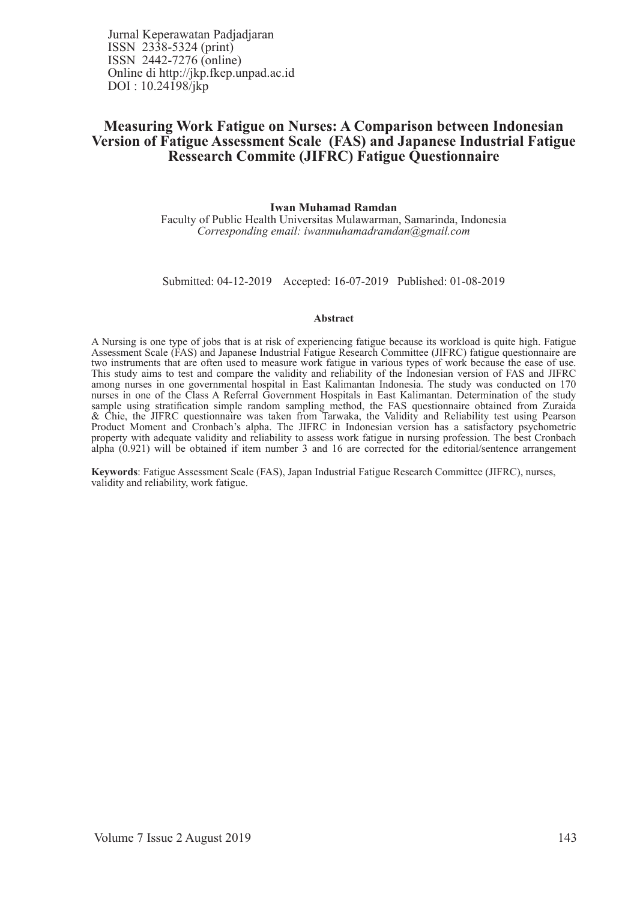Jurnal Keperawatan Padjadjaran ISSN 2338-5324 (print) ISSN 2442-7276 (online) Online di http://jkp.fkep.unpad.ac.id DOI : 10.24198/jkp

# **Measuring Work Fatigue on Nurses: A Comparison between Indonesian Version of Fatigue Assessment Scale (FAS) and Japanese Industrial Fatigue Ressearch Commite (JIFRC) Fatigue Questionnaire**

#### **Iwan Muhamad Ramdan**

Faculty of Public Health Universitas Mulawarman, Samarinda, Indonesia *Corresponding email: iwanmuhamadramdan@gmail.com*

Submitted: 04-12-2019 Accepted: 16-07-2019 Published: 01-08-2019

#### **Abstract**

A Nursing is one type of jobs that is at risk of experiencing fatigue because its workload is quite high. Fatigue Assessment Scale (FAS) and Japanese Industrial Fatigue Research Committee (JIFRC) fatigue questionnaire are two instruments that are often used to measure work fatigue in various types of work because the ease of use. This study aims to test and compare the validity and reliability of the Indonesian version of FAS and JIFRC among nurses in one governmental hospital in East Kalimantan Indonesia. The study was conducted on 170 nurses in one of the Class A Referral Government Hospitals in East Kalimantan. Determination of the study sample using stratification simple random sampling method, the FAS questionnaire obtained from Zuraida & Chie, the JIFRC questionnaire was taken from Tarwaka, the Validity and Reliability test using Pearson Product Moment and Cronbach's alpha. The JIFRC in Indonesian version has a satisfactory psychometric property with adequate validity and reliability to assess work fatigue in nursing profession. The best Cronbach alpha (0.921) will be obtained if item number 3 and 16 are corrected for the editorial/sentence arrangement

**Keywords**: Fatigue Assessment Scale (FAS), Japan Industrial Fatigue Research Committee (JIFRC), nurses, validity and reliability, work fatigue.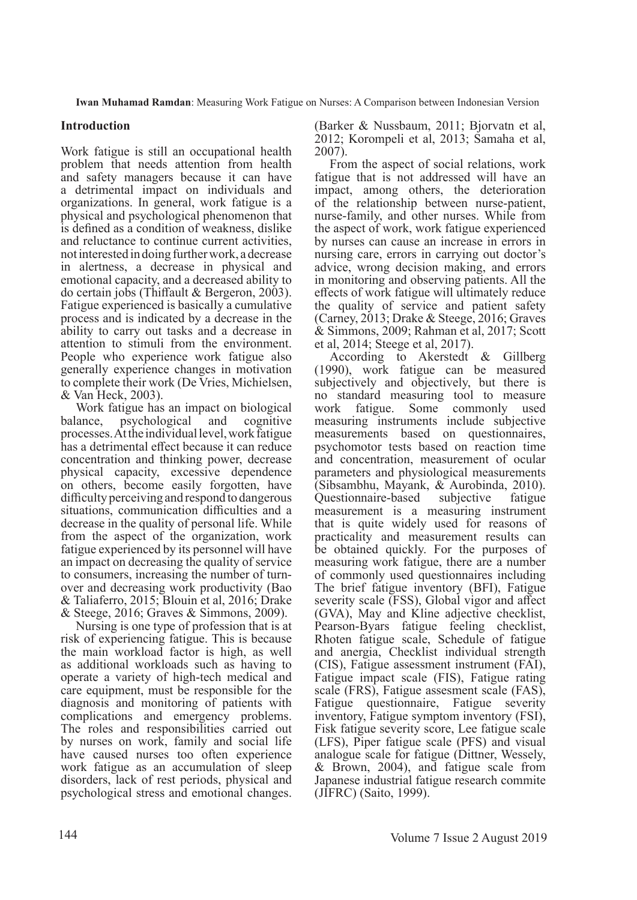# **Introduction**

Work fatigue is still an occupational health problem that needs attention from health and safety managers because it can have a detrimental impact on individuals and organizations. In general, work fatigue is a physical and psychological phenomenon that is defined as a condition of weakness, dislike and reluctance to continue current activities, not interested in doing further work, a decrease in alertness, a decrease in physical and emotional capacity, and a decreased ability to do certain jobs (Thiffault & Bergeron, 2003). Fatigue experienced is basically a cumulative process and is indicated by a decrease in the ability to carry out tasks and a decrease in attention to stimuli from the environment. People who experience work fatigue also generally experience changes in motivation to complete their work (De Vries, Michielsen, & Van Heck, 2003).

Work fatigue has an impact on biological balance, psychological and cognitive processes. At the individual level, work fatigue has a detrimental effect because it can reduce concentration and thinking power, decrease physical capacity, excessive dependence on others, become easily forgotten, have difficulty perceiving and respond to dangerous situations, communication difficulties and a decrease in the quality of personal life. While from the aspect of the organization, work fatigue experienced by its personnel will have an impact on decreasing the quality of service to consumers, increasing the number of turnover and decreasing work productivity (Bao & Taliaferro, 2015; Blouin et al, 2016; Drake & Steege, 2016; Graves & Simmons, 2009).

Nursing is one type of profession that is at risk of experiencing fatigue. This is because the main workload factor is high, as well as additional workloads such as having to operate a variety of high-tech medical and care equipment, must be responsible for the diagnosis and monitoring of patients with complications and emergency problems. The roles and responsibilities carried out by nurses on work, family and social life have caused nurses too often experience work fatigue as an accumulation of sleep disorders, lack of rest periods, physical and psychological stress and emotional changes.

(Barker & Nussbaum, 2011; Bjorvatn et al, 2012; Korompeli et al, 2013; Samaha et al, 2007).

From the aspect of social relations, work fatigue that is not addressed will have an impact, among others, the deterioration of the relationship between nurse-patient, nurse-family, and other nurses. While from the aspect of work, work fatigue experienced by nurses can cause an increase in errors in nursing care, errors in carrying out doctor's advice, wrong decision making, and errors in monitoring and observing patients. All the effects of work fatigue will ultimately reduce the quality of service and patient safety (Carney, 2013; Drake & Steege, 2016; Graves & Simmons, 2009; Rahman et al, 2017; Scott et al, 2014; Steege et al, 2017).

According to Akerstedt & Gillberg (1990), work fatigue can be measured subjectively and objectively, but there is no standard measuring tool to measure work fatigue. Some commonly used measuring instruments include subjective measurements based on questionnaires, psychomotor tests based on reaction time and concentration, measurement of ocular parameters and physiological measurements (Sibsambhu, Mayank, & Aurobinda, 2010). Questionnaire-based subjective fatigue measurement is a measuring instrument that is quite widely used for reasons of practicality and measurement results can be obtained quickly. For the purposes of measuring work fatigue, there are a number of commonly used questionnaires including The brief fatigue inventory (BFI), Fatigue severity scale (FSS), Global vigor and affect (GVA), May and Kline adjective checklist, Pearson-Byars fatigue feeling checklist, Rhoten fatigue scale, Schedule of fatigue and anergia, Checklist individual strength (CIS), Fatigue assessment instrument (FAI), Fatigue impact scale (FIS), Fatigue rating scale (FRS), Fatigue assesment scale (FAS), Fatigue questionnaire, Fatigue severity inventory, Fatigue symptom inventory (FSI), Fisk fatigue severity score, Lee fatigue scale (LFS), Piper fatigue scale (PFS) and visual analogue scale for fatigue (Dittner, Wessely, & Brown, 2004), and fatigue scale from Japanese industrial fatigue research commite (JIFRC) (Saito, 1999).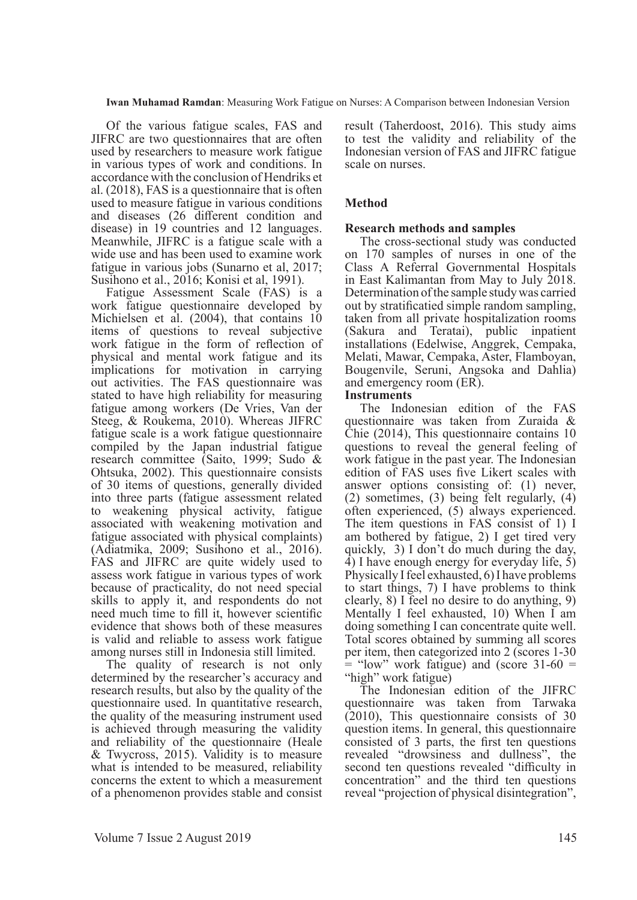Of the various fatigue scales, FAS and JIFRC are two questionnaires that are often used by researchers to measure work fatigue in various types of work and conditions. In accordance with the conclusion of Hendriks et al. (2018), FAS is a questionnaire that is often used to measure fatigue in various conditions and diseases (26 different condition and disease) in 19 countries and 12 languages. Meanwhile, JIFRC is a fatigue scale with a wide use and has been used to examine work fatigue in various jobs (Sunarno et al, 2017; Susihono et al., 2016; Konisi et al, 1991).

Fatigue Assessment Scale (FAS) is a work fatigue questionnaire developed by Michielsen et al. (2004), that contains 10 items of questions to reveal subjective work fatigue in the form of reflection of physical and mental work fatigue and its implications for motivation in carrying out activities. The FAS questionnaire was stated to have high reliability for measuring fatigue among workers (De Vries, Van der Steeg, & Roukema, 2010). Whereas JIFRC fatigue scale is a work fatigue questionnaire compiled by the Japan industrial fatigue research committee (Saito, 1999; Sudo & Ohtsuka, 2002). This questionnaire consists of 30 items of questions, generally divided into three parts (fatigue assessment related to weakening physical activity, fatigue associated with weakening motivation and fatigue associated with physical complaints) (Adiatmika, 2009; Susihono et al., 2016). FAS and JIFRC are quite widely used to assess work fatigue in various types of work because of practicality, do not need special skills to apply it, and respondents do not need much time to fill it, however scientific evidence that shows both of these measures is valid and reliable to assess work fatigue among nurses still in Indonesia still limited.

The quality of research is not only determined by the researcher's accuracy and research results, but also by the quality of the questionnaire used. In quantitative research, the quality of the measuring instrument used is achieved through measuring the validity and reliability of the questionnaire (Heale & Twycross, 2015). Validity is to measure what is intended to be measured, reliability concerns the extent to which a measurement of a phenomenon provides stable and consist

result (Taherdoost, 2016). This study aims to test the validity and reliability of the Indonesian version of FAS and JIFRC fatigue scale on nurses.

# **Method**

## **Research methods and samples**

The cross-sectional study was conducted on 170 samples of nurses in one of the Class A Referral Governmental Hospitals in East Kalimantan from May to July 2018. Determination of the sample study was carried out by stratificatied simple random sampling, taken from all private hospitalization rooms (Sakura and Teratai), public inpatient installations (Edelwise, Anggrek, Cempaka, Melati, Mawar, Cempaka, Aster, Flamboyan, Bougenvile, Seruni, Angsoka and Dahlia) and emergency room (ER).

### **Instruments**

The Indonesian edition of the FAS questionnaire was taken from Zuraida & Chie (2014), This questionnaire contains 10 questions to reveal the general feeling of work fatigue in the past year. The Indonesian edition of FAS uses five Likert scales with answer options consisting of: (1) never, (2) sometimes, (3) being felt regularly, (4) often experienced, (5) always experienced. The item questions in FAS consist of 1) I am bothered by fatigue, 2) I get tired very quickly, 3) I don't do much during the day, 4) I have enough energy for everyday life, 5) Physically I feel exhausted, 6) I have problems to start things, 7) I have problems to think clearly, 8) I feel no desire to do anything, 9) Mentally I feel exhausted, 10) When I am doing something I can concentrate quite well. Total scores obtained by summing all scores per item, then categorized into 2 (scores 1-30  $=$  "low" work fatigue) and (score 31-60  $=$ "high" work fatigue)

The Indonesian edition of the JIFRC questionnaire was taken from Tarwaka (2010), This questionnaire consists of 30 question items. In general, this questionnaire consisted of 3 parts, the first ten questions revealed "drowsiness and dullness", the second ten questions revealed "difficulty in concentration" and the third ten questions reveal "projection of physical disintegration",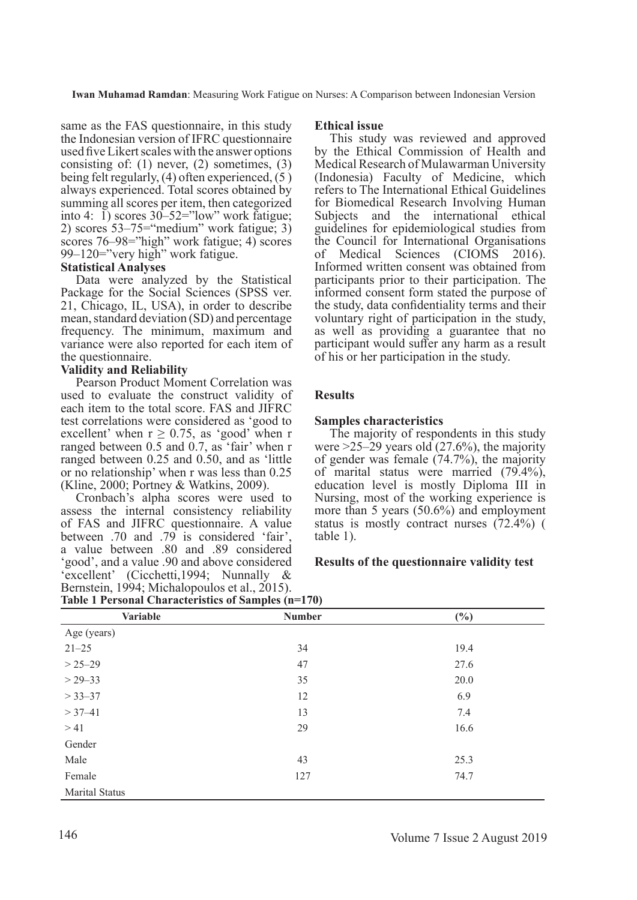same as the FAS questionnaire, in this study the Indonesian version of IFRC questionnaire used five Likert scales with the answer options consisting of: (1) never, (2) sometimes, (3) being felt regularly, (4) often experienced, (5 ) always experienced. Total scores obtained by summing all scores per item, then categorized into 4:  $\tilde{1}$ ) scores  $30 - 52 =$ "low" work fatigue; 2) scores 53–75="medium" work fatigue; 3) scores 76–98="high" work fatigue; 4) scores 99–120="very high" work fatigue.

### **Statistical Analyses**

Data were analyzed by the Statistical Package for the Social Sciences (SPSS ver. 21, Chicago, IL, USA), in order to describe mean, standard deviation (SD) and percentage frequency. The minimum, maximum and variance were also reported for each item of the questionnaire.

### **Validity and Reliability**

Pearson Product Moment Correlation was used to evaluate the construct validity of each item to the total score. FAS and JIFRC test correlations were considered as 'good to excellent' when  $r \ge 0.75$ , as 'good' when r ranged between 0.5 and 0.7, as 'fair' when r ranged between 0.25 and 0.50, and as 'little or no relationship' when r was less than 0.25 (Kline, 2000; Portney & Watkins, 2009).

Cronbach's alpha scores were used to assess the internal consistency reliability of FAS and JIFRC questionnaire. A value between .70 and .79 is considered 'fair', a value between .80 and .89 considered 'good', and a value .90 and above considered 'excellent' (Cicchetti,1994; Nunnally & Bernstein, 1994; Michalopoulos et al., 2015).

#### **Ethical issue**

This study was reviewed and approved by the Ethical Commission of Health and Medical Research of Mulawarman University (Indonesia) Faculty of Medicine, which refers to The International Ethical Guidelines for Biomedical Research Involving Human Subjects and the international ethical guidelines for epidemiological studies from the Council for International Organisations of Medical Sciences (CIOMS 2016). Informed written consent was obtained from participants prior to their participation. The informed consent form stated the purpose of the study, data confidentiality terms and their voluntary right of participation in the study, as well as providing a guarantee that no participant would suffer any harm as a result of his or her participation in the study.

# **Results**

## **Samples characteristics**

The majority of respondents in this study were  $>25-29$  years old (27.6%), the majority of gender was female (74.7%), the majority of marital status were married (79.4%), education level is mostly Diploma III in Nursing, most of the working experience is more than 5 years (50.6%) and employment status is mostly contract nurses (72.4%) ( table 1).

## **Results of the questionnaire validity test**

| Table 1 Personal Characteristics of Samples (n=170) |               |        |  |  |  |  |  |
|-----------------------------------------------------|---------------|--------|--|--|--|--|--|
| <b>Variable</b>                                     | <b>Number</b> | $(\%)$ |  |  |  |  |  |
| Age (years)                                         |               |        |  |  |  |  |  |
| $21 - 25$                                           | 34            | 19.4   |  |  |  |  |  |
| $> 25 - 29$                                         | 47            | 27.6   |  |  |  |  |  |
| $> 29 - 33$                                         | 35            | 20.0   |  |  |  |  |  |
| $> 33 - 37$                                         | 12            | 6.9    |  |  |  |  |  |
| $> 37 - 41$                                         | 13            | 7.4    |  |  |  |  |  |
| >41                                                 | 29            | 16.6   |  |  |  |  |  |
| Gender                                              |               |        |  |  |  |  |  |
| Male                                                | 43            | 25.3   |  |  |  |  |  |
| Female                                              | 127           | 74.7   |  |  |  |  |  |
| <b>Marital Status</b>                               |               |        |  |  |  |  |  |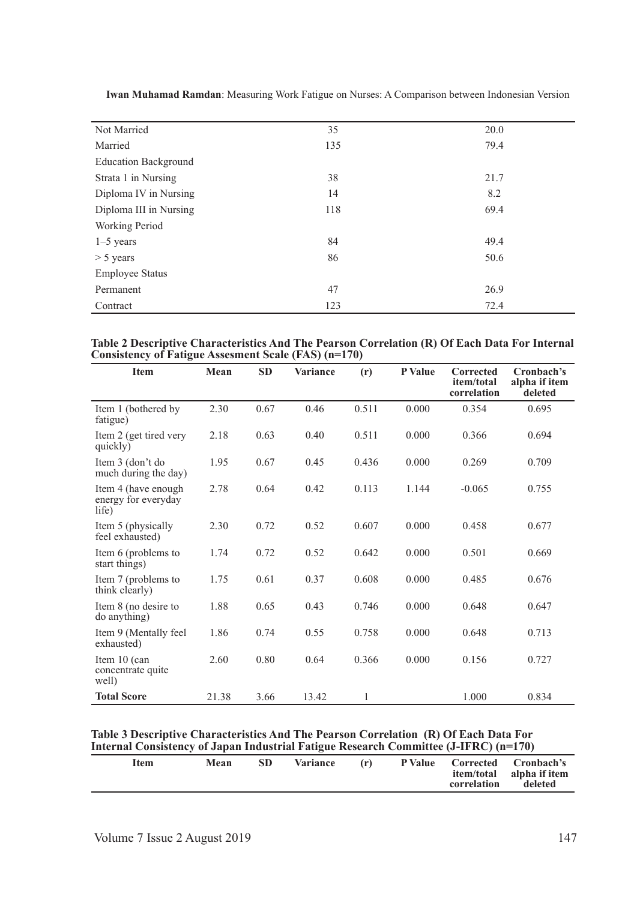| Not Married                 | 35  | 20.0 |
|-----------------------------|-----|------|
| Married                     | 135 | 79.4 |
| <b>Education Background</b> |     |      |
| Strata 1 in Nursing         | 38  | 21.7 |
| Diploma IV in Nursing       | 14  | 8.2  |
| Diploma III in Nursing      | 118 | 69.4 |
| Working Period              |     |      |
| $1-5$ years                 | 84  | 49.4 |
| $> 5$ years                 | 86  | 50.6 |
| <b>Employee Status</b>      |     |      |
| Permanent                   | 47  | 26.9 |
| Contract                    | 123 | 72.4 |

| Table 2 Descriptive Characteristics And The Pearson Correlation (R) Of Each Data For Internal |  |  |  |
|-----------------------------------------------------------------------------------------------|--|--|--|
| Consistency of Fatigue Assesment Scale (FAS) (n=170)                                          |  |  |  |

| <b>Item</b>                                         | Mean  | <b>SD</b> | <b>Variance</b> | (r)          | P Value | <b>Corrected</b><br>item/total<br>correlation | Cronbach's<br>alpha if item<br>deleted |
|-----------------------------------------------------|-------|-----------|-----------------|--------------|---------|-----------------------------------------------|----------------------------------------|
| Item 1 (bothered by<br>fatigue)                     | 2.30  | 0.67      | 0.46            | 0.511        | 0.000   | 0.354                                         | 0.695                                  |
| Item 2 (get tired very<br>quickly)                  | 2.18  | 0.63      | 0.40            | 0.511        | 0.000   | 0.366                                         | 0.694                                  |
| Item 3 (don't do<br>much during the day)            | 1.95  | 0.67      | 0.45            | 0.436        | 0.000   | 0.269                                         | 0.709                                  |
| Item 4 (have enough<br>energy for everyday<br>life) | 2.78  | 0.64      | 0.42            | 0.113        | 1.144   | $-0.065$                                      | 0.755                                  |
| Item 5 (physically<br>feel exhausted)               | 2.30  | 0.72      | 0.52            | 0.607        | 0.000   | 0.458                                         | 0.677                                  |
| Item 6 (problems to<br>start things)                | 1.74  | 0.72      | 0.52            | 0.642        | 0.000   | 0.501                                         | 0.669                                  |
| Item 7 (problems to<br>think clearly)               | 1.75  | 0.61      | 0.37            | 0.608        | 0.000   | 0.485                                         | 0.676                                  |
| Item 8 (no desire to<br>do anything)                | 1.88  | 0.65      | 0.43            | 0.746        | 0.000   | 0.648                                         | 0.647                                  |
| Item 9 (Mentally feel)<br>exhausted)                | 1.86  | 0.74      | 0.55            | 0.758        | 0.000   | 0.648                                         | 0.713                                  |
| Item 10 (can<br>concentrate quite<br>well)          | 2.60  | 0.80      | 0.64            | 0.366        | 0.000   | 0.156                                         | 0.727                                  |
| <b>Total Score</b>                                  | 21.38 | 3.66      | 13.42           | $\mathbf{1}$ |         | 1.000                                         | 0.834                                  |

#### **Table 3 Descriptive Characteristics And The Pearson Correlation (R) Of Each Data For Internal Consistency of Japan Industrial Fatigue Research Committee (J-IFRC) (n=170)**

| The manufacture of the companished in the control of the community of the control of the control of the control of the control of the control of the control of the control of the control of the control of the control of th |      |      |                 |     |             |                                                                     |
|--------------------------------------------------------------------------------------------------------------------------------------------------------------------------------------------------------------------------------|------|------|-----------------|-----|-------------|---------------------------------------------------------------------|
| Item                                                                                                                                                                                                                           | Mean | -SD- | <b>Variance</b> | (r) | correlation | P Value Corrected Cronbach's<br>item/total alpha if item<br>deleted |
|                                                                                                                                                                                                                                |      |      |                 |     |             |                                                                     |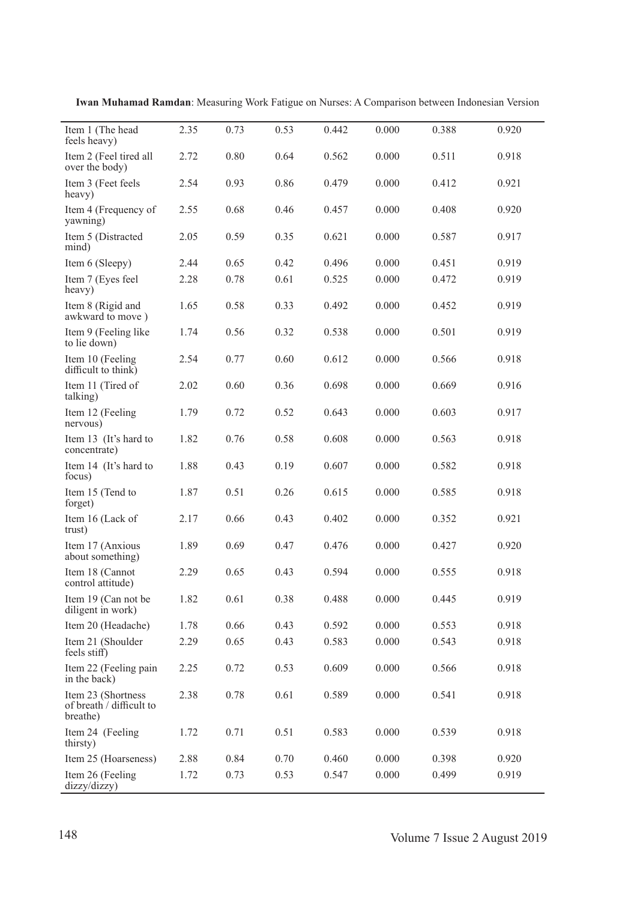| Item 1 (The head<br>feels heavy)                           | 2.35 | 0.73 | 0.53 | 0.442 | 0.000     | 0.388 | 0.920 |
|------------------------------------------------------------|------|------|------|-------|-----------|-------|-------|
| Item 2 (Feel tired all<br>over the body)                   | 2.72 | 0.80 | 0.64 | 0.562 | 0.000     | 0.511 | 0.918 |
| Item 3 (Feet feels<br>heavy)                               | 2.54 | 0.93 | 0.86 | 0.479 | 0.000     | 0.412 | 0.921 |
| Item 4 (Frequency of<br>yawning)                           | 2.55 | 0.68 | 0.46 | 0.457 | 0.000     | 0.408 | 0.920 |
| Item 5 (Distracted<br>mind)                                | 2.05 | 0.59 | 0.35 | 0.621 | 0.000     | 0.587 | 0.917 |
| Item 6 (Sleepy)                                            | 2.44 | 0.65 | 0.42 | 0.496 | 0.000     | 0.451 | 0.919 |
| Item 7 (Eyes feel<br>heavy)                                | 2.28 | 0.78 | 0.61 | 0.525 | 0.000     | 0.472 | 0.919 |
| Item 8 (Rigid and<br>awkward to move)                      | 1.65 | 0.58 | 0.33 | 0.492 | 0.000     | 0.452 | 0.919 |
| Item 9 (Feeling like<br>to lie down)                       | 1.74 | 0.56 | 0.32 | 0.538 | 0.000     | 0.501 | 0.919 |
| Item 10 (Feeling<br>difficult to think)                    | 2.54 | 0.77 | 0.60 | 0.612 | 0.000     | 0.566 | 0.918 |
| Item 11 (Tired of<br>talking)                              | 2.02 | 0.60 | 0.36 | 0.698 | 0.000     | 0.669 | 0.916 |
| Item 12 (Feeling<br>nervous)                               | 1.79 | 0.72 | 0.52 | 0.643 | 0.000     | 0.603 | 0.917 |
| Item 13 (It's hard to<br>concentrate)                      | 1.82 | 0.76 | 0.58 | 0.608 | 0.000     | 0.563 | 0.918 |
| Item 14 (It's hard to<br>focus)                            | 1.88 | 0.43 | 0.19 | 0.607 | 0.000     | 0.582 | 0.918 |
| Item 15 (Tend to<br>forget)                                | 1.87 | 0.51 | 0.26 | 0.615 | 0.000     | 0.585 | 0.918 |
| Item 16 (Lack of<br>trust)                                 | 2.17 | 0.66 | 0.43 | 0.402 | 0.000     | 0.352 | 0.921 |
| Item 17 (Anxious<br>about something)                       | 1.89 | 0.69 | 0.47 | 0.476 | 0.000     | 0.427 | 0.920 |
| Item 18 (Cannot<br>control attitude)                       | 2.29 | 0.65 | 0.43 | 0.594 | 0.000     | 0.555 | 0.918 |
| Item 19 (Can not be<br>diligent in work)                   | 1.82 | 0.61 | 0.38 | 0.488 | $0.000\,$ | 0.445 | 0.919 |
| Item 20 (Headache)                                         | 1.78 | 0.66 | 0.43 | 0.592 | 0.000     | 0.553 | 0.918 |
| Item 21 (Shoulder<br>feels stiff)                          | 2.29 | 0.65 | 0.43 | 0.583 | 0.000     | 0.543 | 0.918 |
| Item 22 (Feeling pain<br>in the back)                      | 2.25 | 0.72 | 0.53 | 0.609 | 0.000     | 0.566 | 0.918 |
| Item 23 (Shortness<br>of breath / difficult to<br>breathe) | 2.38 | 0.78 | 0.61 | 0.589 | 0.000     | 0.541 | 0.918 |
| Item 24 (Feeling<br>thirsty)                               | 1.72 | 0.71 | 0.51 | 0.583 | 0.000     | 0.539 | 0.918 |
| Item 25 (Hoarseness)                                       | 2.88 | 0.84 | 0.70 | 0.460 | 0.000     | 0.398 | 0.920 |
| Item 26 (Feeling<br>dizzy/dizzy)                           | 1.72 | 0.73 | 0.53 | 0.547 | 0.000     | 0.499 | 0.919 |

**Iwan Muhamad Ramdan**: Measuring Work Fatigue on Nurses: A Comparison between Indonesian Version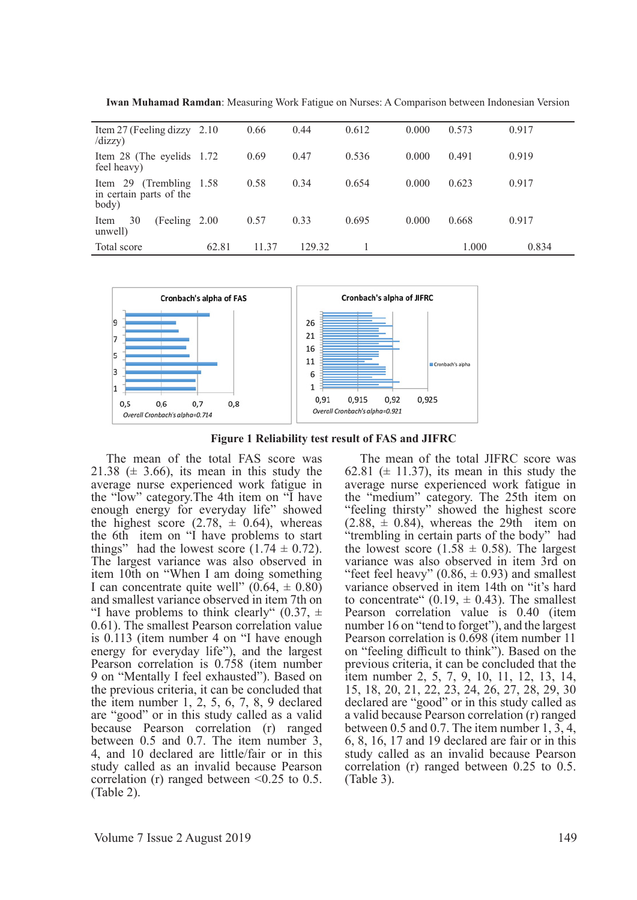| Item 27 (Feeling dizzy $2.10$<br>/dizzy)                        |       | 0.66  | 0.44   | 0.612 | 0.000 | 0.573 | 0.917 |
|-----------------------------------------------------------------|-------|-------|--------|-------|-------|-------|-------|
| Item 28 (The eyelids 1.72)<br>feel heavy)                       |       | 0.69  | 0.47   | 0.536 | 0.000 | 0.491 | 0.919 |
| 29 (Trembling 1.58)<br>Item<br>in certain parts of the<br>body) |       | 0.58  | 0.34   | 0.654 | 0.000 | 0.623 | 0.917 |
| 30<br>(Feeling 2.00)<br>Item<br>unwell)                         |       | 0.57  | 0.33   | 0.695 | 0.000 | 0.668 | 0.917 |
| Total score                                                     | 62.81 | 11.37 | 129.32 |       |       | 1.000 | 0.834 |

**Iwan Muhamad Ramdan**: Measuring Work Fatigue on Nurses: A Comparison between Indonesian Version



**Figure 1 Reliability test result of FAS and JIFRC**

The mean of the total FAS score was 21.38 ( $\pm$  3.66), its mean in this study the average nurse experienced work fatigue in the "low" category.The 4th item on "I have enough energy for everyday life" showed the highest score  $(2.78, \pm 0.64)$ , whereas the 6th item on "I have problems to start things" had the lowest score  $(1.74 \pm 0.72)$ . The largest variance was also observed in item 10th on "When I am doing something I can concentrate quite well"  $(0.64, \pm 0.80)$ and smallest variance observed in item 7th on "I have problems to think clearly"  $(0.37, \pm)$ 0.61). The smallest Pearson correlation value is 0.113 (item number 4 on "I have enough energy for everyday life"), and the largest Pearson correlation is 0.758 (item number 9 on "Mentally I feel exhausted"). Based on the previous criteria, it can be concluded that the item number 1, 2, 5, 6, 7, 8, 9 declared are "good" or in this study called as a valid because Pearson correlation (r) ranged between 0.5 and 0.7. The item number 3, 4, and 10 declared are little/fair or in this study called as an invalid because Pearson correlation (r) ranged between  $\leq 0.25$  to 0.5. (Table 2).

The mean of the total JIFRC score was 62.81 ( $\pm$  11.37), its mean in this study the average nurse experienced work fatigue in the "medium" category. The 25th item on "feeling thirsty" showed the highest score  $(2.88, \pm 0.84)$ , whereas the 29th item on "trembling in certain parts of the body" had the lowest score (1.58  $\pm$  0.58). The largest variance was also observed in item 3rd on "feet feel heavy"  $(0.86, \pm 0.93)$  and smallest variance observed in item 14th on "it's hard to concentrate  $(0.19, \pm 0.43)$ . The smallest Pearson correlation value is 0.40 (item number 16 on "tend to forget"), and the largest Pearson correlation is 0.698 (item number 11 on "feeling difficult to think"). Based on the previous criteria, it can be concluded that the item number 2, 5, 7, 9, 10, 11, 12, 13, 14, 15, 18, 20, 21, 22, 23, 24, 26, 27, 28, 29, 30 declared are "good" or in this study called as a valid because Pearson correlation (r) ranged between 0.5 and 0.7. The item number 1, 3, 4, 6, 8, 16, 17 and 19 declared are fair or in this study called as an invalid because Pearson correlation (r) ranged between 0.25 to 0.5. (Table 3).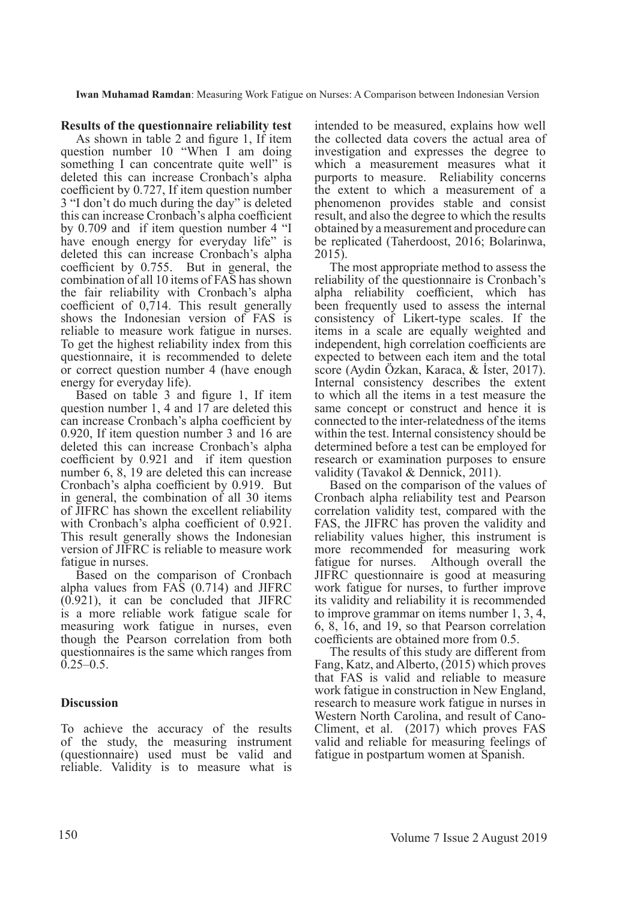## **Results of the questionnaire reliability test**

As shown in table 2 and figure 1, If item question number 10 "When I am doing something I can concentrate quite well" is deleted this can increase Cronbach's alpha coefficient by 0.727, If item question number 3 "I don't do much during the day" is deleted this can increase Cronbach's alpha coefficient by 0.709 and if item question number 4 "I have enough energy for everyday life" is deleted this can increase Cronbach's alpha coefficient by 0.755. But in general, the combination of all 10 items of FAS has shown the fair reliability with Cronbach's alpha coefficient of 0,714. This result generally shows the Indonesian version of FAS is reliable to measure work fatigue in nurses. To get the highest reliability index from this questionnaire, it is recommended to delete or correct question number 4 (have enough energy for everyday life).

Based on table 3 and figure 1, If item question number 1, 4 and 17 are deleted this can increase Cronbach's alpha coefficient by 0.920, If item question number 3 and 16 are deleted this can increase Cronbach's alpha coefficient by 0.921 and if item question number 6, 8, 19 are deleted this can increase Cronbach's alpha coefficient by 0.919. But in general, the combination of all 30 items of JIFRC has shown the excellent reliability with Cronbach's alpha coefficient of 0.921. This result generally shows the Indonesian version of JIFRC is reliable to measure work fatigue in nurses.

Based on the comparison of Cronbach alpha values from FAS (0.714) and JIFRC (0.921), it can be concluded that JIFRC is a more reliable work fatigue scale for measuring work fatigue in nurses, even though the Pearson correlation from both questionnaires is the same which ranges from  $0.25 - 0.5$ .

# **Discussion**

To achieve the accuracy of the results of the study, the measuring instrument (questionnaire) used must be valid and reliable. Validity is to measure what is

intended to be measured, explains how well the collected data covers the actual area of investigation and expresses the degree to which a measurement measures what it purports to measure. Reliability concerns the extent to which a measurement of a phenomenon provides stable and consist result, and also the degree to which the results obtained by a measurement and procedure can be replicated (Taherdoost, 2016; Bolarinwa, 2015).

The most appropriate method to assess the reliability of the questionnaire is Cronbach's alpha reliability coefficient, which has been frequently used to assess the internal consistency of Likert-type scales. If the items in a scale are equally weighted and independent, high correlation coefficients are expected to between each item and the total score (Aydin Özkan, Karaca, & İster, 2017). Internal consistency describes the extent to which all the items in a test measure the same concept or construct and hence it is connected to the inter-relatedness of the items within the test. Internal consistency should be determined before a test can be employed for research or examination purposes to ensure validity (Tavakol & Dennick, 2011).

Based on the comparison of the values of Cronbach alpha reliability test and Pearson correlation validity test, compared with the FAS, the JIFRC has proven the validity and reliability values higher, this instrument is more recommended for measuring work fatigue for nurses. Although overall the JIFRC questionnaire is good at measuring work fatigue for nurses, to further improve its validity and reliability it is recommended to improve grammar on items number 1, 3, 4, 6, 8, 16, and 19, so that Pearson correlation coefficients are obtained more from 0.5.

The results of this study are different from Fang, Katz, and Alberto, (2015) which proves that FAS is valid and reliable to measure work fatigue in construction in New England, research to measure work fatigue in nurses in Western North Carolina, and result of Cano-Climent, et al. (2017) which proves FAS valid and reliable for measuring feelings of fatigue in postpartum women at Spanish.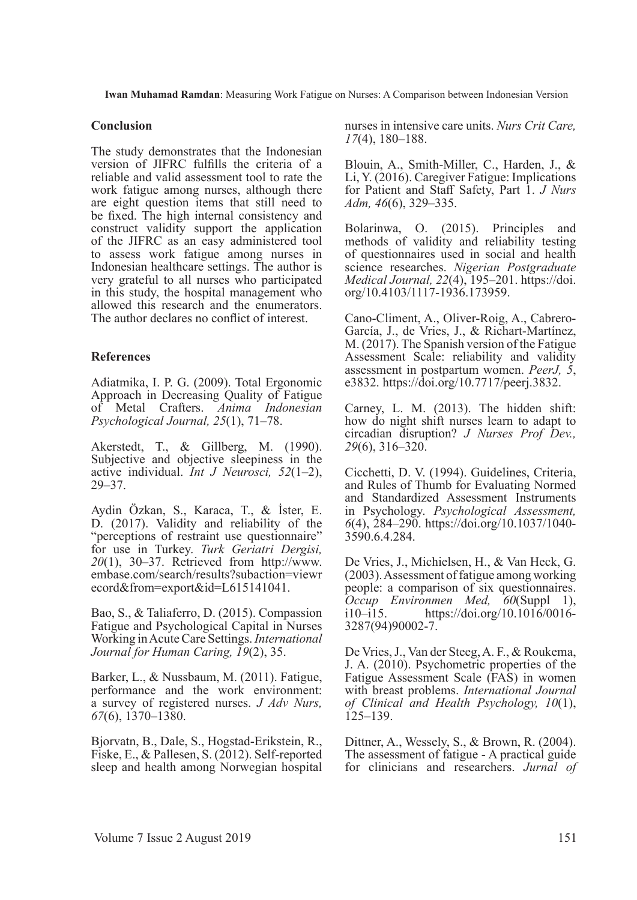### **Conclusion**

The study demonstrates that the Indonesian version of JIFRC fulfills the criteria of a reliable and valid assessment tool to rate the work fatigue among nurses, although there are eight question items that still need to be fixed. The high internal consistency and construct validity support the application of the JIFRC as an easy administered tool to assess work fatigue among nurses in Indonesian healthcare settings. The author is very grateful to all nurses who participated in this study, the hospital management who allowed this research and the enumerators. The author declares no conflict of interest.

# **References**

Adiatmika, I. P. G. (2009). Total Ergonomic Approach in Decreasing Quality of Fatigue of Metal Crafters. *Anima Indonesian Psychological Journal, 25*(1), 71–78.

Akerstedt, T., & Gillberg, M. (1990). Subjective and objective sleepiness in the active individual. *Int J Neurosci, 52*(1–2), 29–37.

Aydin Özkan, S., Karaca, T., & İster, E. D. (2017). Validity and reliability of the "perceptions of restraint use questionnaire" for use in Turkey. *Turk Geriatri Dergisi, 20*(1), 30–37. Retrieved from http://www. embase.com/search/results?subaction=viewr ecord&from=export&id=L615141041.

Bao, S., & Taliaferro, D. (2015). Compassion Fatigue and Psychological Capital in Nurses Working in Acute Care Settings. *International Journal for Human Caring, 19*(2), 35.

Barker, L., & Nussbaum, M. (2011). Fatigue, performance and the work environment: a survey of registered nurses. *J Adv Nurs, 67*(6), 1370–1380.

Bjorvatn, B., Dale, S., Hogstad-Erikstein, R., Fiske, E., & Pallesen, S. (2012). Self-reported sleep and health among Norwegian hospital

nurses in intensive care units. *Nurs Crit Care, 17*(4), 180–188.

Blouin, A., Smith-Miller, C., Harden, J., & Li, Y. (2016). Caregiver Fatigue: Implications for Patient and Staff Safety, Part 1. *J Nurs Adm, 46*(6), 329–335.

Bolarinwa, O. (2015). Principles and methods of validity and reliability testing of questionnaires used in social and health science researches. *Nigerian Postgraduate Medical Journal, 22*(4), 195–201. https://doi. org/10.4103/1117-1936.173959.

Cano-Climent, A., Oliver-Roig, A., Cabrero-García, J., de Vries, J., & Richart-Martínez, M. (2017). The Spanish version of the Fatigue Assessment Scale: reliability and validity assessment in postpartum women. *PeerJ, 5*, e3832. https://doi.org/10.7717/peerj.3832.

Carney, L. M. (2013). The hidden shift: how do night shift nurses learn to adapt to circadian disruption? *J Nurses Prof Dev., 29*(6), 316–320.

Cicchetti, D. V. (1994). Guidelines, Criteria, and Rules of Thumb for Evaluating Normed and Standardized Assessment Instruments in Psychology. *Psychological Assessment, 6*(4), 284–290. https://doi.org/10.1037/1040- 3590.6.4.284.

De Vries, J., Michielsen, H., & Van Heck, G. (2003). Assessment of fatigue among working people: a comparison of six questionnaires. *Occup Environmen Med, 60*(Suppl 1), i10–i15. https://doi.org/10.1016/0016https://doi.org/10.1016/0016-3287(94)90002-7.

De Vries, J., Van der Steeg, A. F., & Roukema, J. A. (2010). Psychometric properties of the Fatigue Assessment Scale (FAS) in women with breast problems. *International Journal of Clinical and Health Psychology, 10*(1), 125–139.

Dittner, A., Wessely, S., & Brown, R. (2004). The assessment of fatigue - A practical guide for clinicians and researchers. *Jurnal of*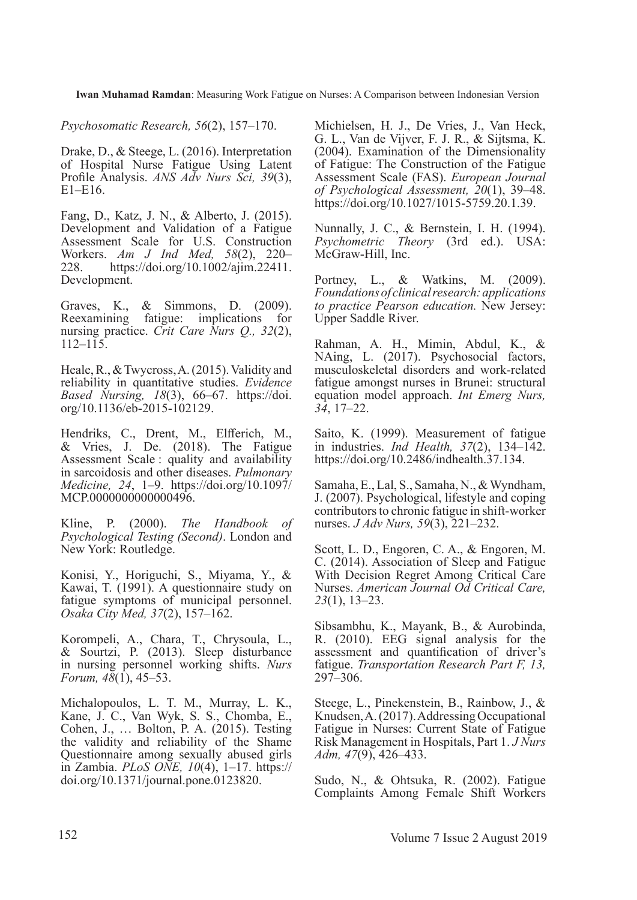*Psychosomatic Research, 56*(2), 157–170.

Drake, D., & Steege, L. (2016). Interpretation of Hospital Nurse Fatigue Using Latent Profile Analysis. *ANS Adv Nurs Sci, 39*(3), E1–E16.

Fang, D., Katz, J. N., & Alberto, J. (2015). Development and Validation of a Fatigue Assessment Scale for U.S. Construction Workers. *Am J Ind Med, 58*(2), 220– 228. https://doi.org/10.1002/ajim.22411. Development.

Graves, K., & Simmons, D. (2009). Reexamining fatigue: implications for nursing practice. *Crit Care Nurs Q., 32*(2), 112–115.

Heale, R., & Twycross, A. (2015). Validity and reliability in quantitative studies. *Evidence Based Nursing, 18*(3), 66–67. https://doi. org/10.1136/eb-2015-102129.

Hendriks, C., Drent, M., Elfferich, M., & Vries, J. De. (2018). The Fatigue Assessment Scale : quality and availability in sarcoidosis and other diseases. *Pulmonary Medicine, 24*, 1–9. https://doi.org/10.1097/ MCP.0000000000000496.

Kline, P. (2000). *The Handbook of Psychological Testing (Second)*. London and New York: Routledge.

Konisi, Y., Horiguchi, S., Miyama, Y., & Kawai, T. (1991). A questionnaire study on fatigue symptoms of municipal personnel. *Osaka City Med, 37*(2), 157–162.

Korompeli, A., Chara, T., Chrysoula, L., & Sourtzi, P. (2013). Sleep disturbance in nursing personnel working shifts. *Nurs Forum, 48*(1), 45–53.

Michalopoulos, L. T. M., Murray, L. K., Kane, J. C., Van Wyk, S. S., Chomba, E., Cohen, J., … Bolton, P. A. (2015). Testing the validity and reliability of the Shame Questionnaire among sexually abused girls in Zambia. *PLoS ONE, 10*(4), 1–17. https:// doi.org/10.1371/journal.pone.0123820.

Michielsen, H. J., De Vries, J., Van Heck, G. L., Van de Vijver, F. J. R., & Sijtsma, K. (2004). Examination of the Dimensionality of Fatigue: The Construction of the Fatigue Assessment Scale (FAS). *European Journal of Psychological Assessment, 20*(1), 39–48. https://doi.org/10.1027/1015-5759.20.1.39.

Nunnally, J. C., & Bernstein, I. H. (1994). *Psychometric Theory* (3rd ed.). USA: McGraw-Hill, Inc.

Portney, L., & Watkins, M. (2009). *Foundations of clinical research: applications to practice Pearson education.* New Jersey: Upper Saddle River.

Rahman, A. H., Mimin, Abdul, K., & NAing, L. (2017). Psychosocial factors, musculoskeletal disorders and work-related fatigue amongst nurses in Brunei: structural equation model approach. *Int Emerg Nurs, 34*, 17–22.

Saito, K. (1999). Measurement of fatigue in industries. *Ind Health, 37*(2), 134–142. https://doi.org/10.2486/indhealth.37.134.

Samaha, E., Lal, S., Samaha, N., & Wyndham, J. (2007). Psychological, lifestyle and coping contributors to chronic fatigue in shift-worker nurses. *J Adv Nurs, 59*(3), 221–232.

Scott, L. D., Engoren, C. A., & Engoren, M. C. (2014). Association of Sleep and Fatigue With Decision Regret Among Critical Care Nurses. *American Journal Od Critical Care, 23*(1), 13–23.

Sibsambhu, K., Mayank, B., & Aurobinda, R. (2010). EEG signal analysis for the assessment and quantification of driver's fatigue. *Transportation Research Part F, 13,*  297–306.

Steege, L., Pinekenstein, B., Rainbow, J., & Knudsen, A. (2017). Addressing Occupational Fatigue in Nurses: Current State of Fatigue Risk Management in Hospitals, Part 1. *J Nurs Adm, 47*(9), 426–433.

Sudo, N., & Ohtsuka, R. (2002). Fatigue Complaints Among Female Shift Workers